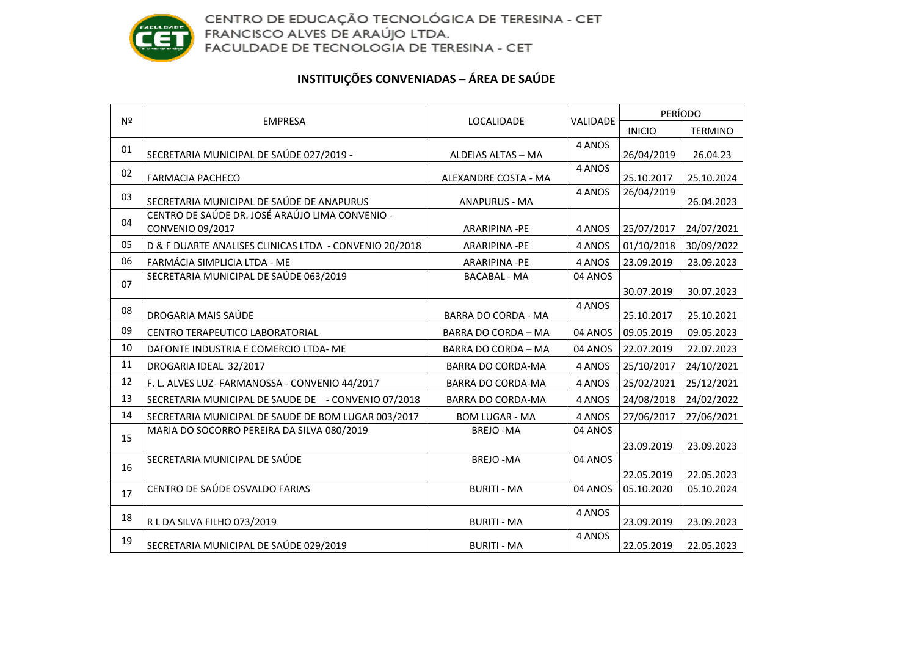

## **INSTITUIÇÕES CONVENIADAS – ÁREA DE SAÚDE**

| Nº | <b>EMPRESA</b>                                                      | LOCALIDADE                 | VALIDADE | <b>PERÍODO</b> |                |
|----|---------------------------------------------------------------------|----------------------------|----------|----------------|----------------|
|    |                                                                     |                            |          | <b>INICIO</b>  | <b>TERMINO</b> |
| 01 | SECRETARIA MUNICIPAL DE SAÚDE 027/2019 -                            | ALDEIAS ALTAS - MA         | 4 ANOS   | 26/04/2019     | 26.04.23       |
| 02 | <b>FARMACIA PACHECO</b>                                             | ALEXANDRE COSTA - MA       | 4 ANOS   | 25.10.2017     | 25.10.2024     |
| 03 | SECRETARIA MUNICIPAL DE SAÚDE DE ANAPURUS                           | <b>ANAPURUS - MA</b>       | 4 ANOS   | 26/04/2019     | 26.04.2023     |
| 04 | CENTRO DE SAÚDE DR. JOSÉ ARAÚJO LIMA CONVENIO -<br>CONVENIO 09/2017 | ARARIPINA -PE              | 4 ANOS   | 25/07/2017     | 24/07/2021     |
| 05 | D & F DUARTE ANALISES CLINICAS LTDA - CONVENIO 20/2018              | ARARIPINA -PE              | 4 ANOS   | 01/10/2018     | 30/09/2022     |
| 06 | FARMÁCIA SIMPLICIA LTDA - ME                                        | ARARIPINA -PE              | 4 ANOS   | 23.09.2019     | 23.09.2023     |
| 07 | SECRETARIA MUNICIPAL DE SAÚDE 063/2019                              | <b>BACABAL - MA</b>        | 04 ANOS  |                |                |
|    |                                                                     |                            |          | 30.07.2019     | 30.07.2023     |
| 08 | DROGARIA MAIS SAÚDE                                                 | <b>BARRA DO CORDA - MA</b> | 4 ANOS   | 25.10.2017     | 25.10.2021     |
| 09 | CENTRO TERAPEUTICO LABORATORIAL                                     | <b>BARRA DO CORDA - MA</b> | 04 ANOS  | 09.05.2019     | 09.05.2023     |
| 10 | DAFONTE INDUSTRIA E COMERCIO LTDA- ME                               | BARRA DO CORDA - MA        | 04 ANOS  | 22.07.2019     | 22.07.2023     |
| 11 | DROGARIA IDEAL 32/2017                                              | BARRA DO CORDA-MA          | 4 ANOS   | 25/10/2017     | 24/10/2021     |
| 12 | F. L. ALVES LUZ- FARMANOSSA - CONVENIO 44/2017                      | BARRA DO CORDA-MA          | 4 ANOS   | 25/02/2021     | 25/12/2021     |
| 13 | SECRETARIA MUNICIPAL DE SAUDE DE - CONVENIO 07/2018                 | BARRA DO CORDA-MA          | 4 ANOS   | 24/08/2018     | 24/02/2022     |
| 14 | SECRETARIA MUNICIPAL DE SAUDE DE BOM LUGAR 003/2017                 | <b>BOM LUGAR - MA</b>      | 4 ANOS   | 27/06/2017     | 27/06/2021     |
| 15 | MARIA DO SOCORRO PEREIRA DA SILVA 080/2019                          | <b>BREJO-MA</b>            | 04 ANOS  |                |                |
|    |                                                                     |                            |          | 23.09.2019     | 23.09.2023     |
| 16 | SECRETARIA MUNICIPAL DE SAÚDE                                       | <b>BREJO-MA</b>            | 04 ANOS  | 22.05.2019     | 22.05.2023     |
| 17 | CENTRO DE SAÚDE OSVALDO FARIAS                                      | <b>BURITI - MA</b>         | 04 ANOS  | 05.10.2020     | 05.10.2024     |
| 18 | R L DA SILVA FILHO 073/2019                                         | <b>BURITI - MA</b>         | 4 ANOS   | 23.09.2019     | 23.09.2023     |
| 19 | SECRETARIA MUNICIPAL DE SAÚDE 029/2019                              | <b>BURITI - MA</b>         | 4 ANOS   | 22.05.2019     | 22.05.2023     |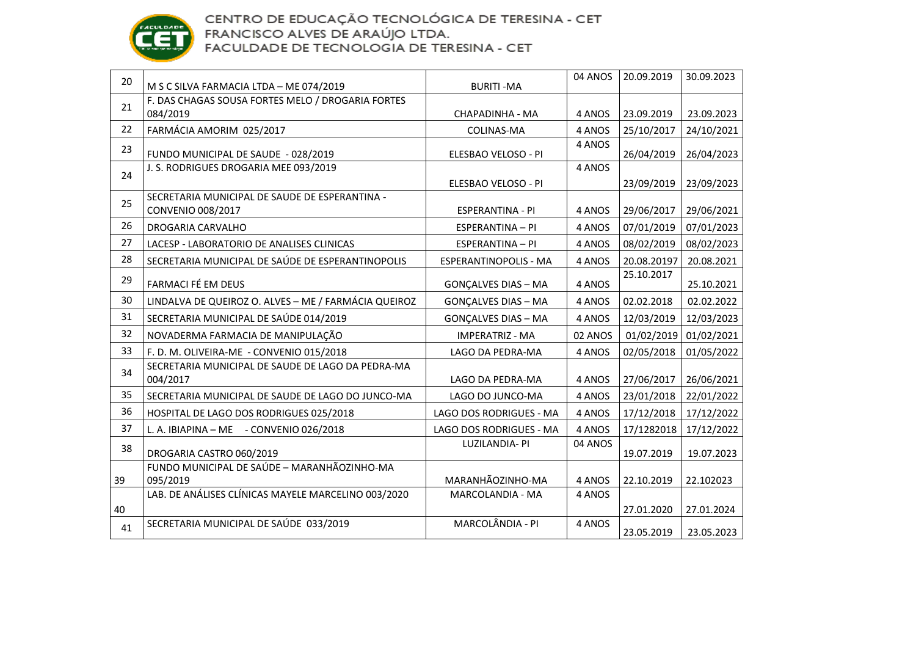

| 20 | M S C SILVA FARMACIA LTDA - ME 074/2019                       | <b>BURITI-MA</b>           | 04 ANOS | 20.09.2019  | 30.09.2023 |
|----|---------------------------------------------------------------|----------------------------|---------|-------------|------------|
| 21 | F. DAS CHAGAS SOUSA FORTES MELO / DROGARIA FORTES             |                            |         |             |            |
|    | 084/2019                                                      | CHAPADINHA - MA            | 4 ANOS  | 23.09.2019  | 23.09.2023 |
| 22 | FARMÁCIA AMORIM 025/2017                                      | COLINAS-MA                 | 4 ANOS  | 25/10/2017  | 24/10/2021 |
| 23 | FUNDO MUNICIPAL DE SAUDE - 028/2019                           | ELESBAO VELOSO - PI        | 4 ANOS  | 26/04/2019  | 26/04/2023 |
| 24 | J. S. RODRIGUES DROGARIA MEE 093/2019                         | ELESBAO VELOSO - PI        | 4 ANOS  | 23/09/2019  | 23/09/2023 |
|    | SECRETARIA MUNICIPAL DE SAUDE DE ESPERANTINA -                |                            |         |             |            |
| 25 | CONVENIO 008/2017                                             | <b>ESPERANTINA - PI</b>    | 4 ANOS  | 29/06/2017  | 29/06/2021 |
| 26 | <b>DROGARIA CARVALHO</b>                                      | <b>ESPERANTINA - PI</b>    | 4 ANOS  | 07/01/2019  | 07/01/2023 |
| 27 | LACESP - LABORATORIO DE ANALISES CLINICAS                     | ESPERANTINA - PI           | 4 ANOS  | 08/02/2019  | 08/02/2023 |
| 28 | SECRETARIA MUNICIPAL DE SAÚDE DE ESPERANTINOPOLIS             | ESPERANTINOPOLIS - MA      | 4 ANOS  | 20.08.20197 | 20.08.2021 |
| 29 | FARMACI FÉ EM DEUS                                            | <b>GONÇALVES DIAS - MA</b> | 4 ANOS  | 25.10.2017  | 25.10.2021 |
| 30 | LINDALVA DE QUEIROZ O. ALVES - ME / FARMÁCIA QUEIROZ          | <b>GONÇALVES DIAS - MA</b> | 4 ANOS  | 02.02.2018  | 02.02.2022 |
| 31 | SECRETARIA MUNICIPAL DE SAÚDE 014/2019                        | <b>GONÇALVES DIAS - MA</b> | 4 ANOS  | 12/03/2019  | 12/03/2023 |
| 32 | NOVADERMA FARMACIA DE MANIPULAÇÃO                             | <b>IMPERATRIZ - MA</b>     | 02 ANOS | 01/02/2019  | 01/02/2021 |
| 33 | F. D. M. OLIVEIRA-ME - CONVENIO 015/2018                      | LAGO DA PEDRA-MA           | 4 ANOS  | 02/05/2018  | 01/05/2022 |
| 34 | SECRETARIA MUNICIPAL DE SAUDE DE LAGO DA PEDRA-MA<br>004/2017 | LAGO DA PEDRA-MA           | 4 ANOS  | 27/06/2017  | 26/06/2021 |
| 35 | SECRETARIA MUNICIPAL DE SAUDE DE LAGO DO JUNCO-MA             | LAGO DO JUNCO-MA           | 4 ANOS  | 23/01/2018  | 22/01/2022 |
| 36 | HOSPITAL DE LAGO DOS RODRIGUES 025/2018                       | LAGO DOS RODRIGUES - MA    | 4 ANOS  | 17/12/2018  | 17/12/2022 |
| 37 | L. A. IBIAPINA - ME - CONVENIO 026/2018                       | LAGO DOS RODRIGUES - MA    | 4 ANOS  | 17/1282018  | 17/12/2022 |
| 38 | DROGARIA CASTRO 060/2019                                      | LUZILANDIA- PI             | 04 ANOS | 19.07.2019  | 19.07.2023 |
| 39 | FUNDO MUNICIPAL DE SAÚDE - MARANHÃOZINHO-MA<br>095/2019       | MARANHÃOZINHO-MA           | 4 ANOS  | 22.10.2019  | 22.102023  |
|    | LAB. DE ANÁLISES CLÍNICAS MAYELE MARCELINO 003/2020           | MARCOLANDIA - MA           | 4 ANOS  |             |            |
| 40 |                                                               |                            |         | 27.01.2020  | 27.01.2024 |
| 41 | SECRETARIA MUNICIPAL DE SAÚDE 033/2019                        | MARCOLÂNDIA - PI           | 4 ANOS  | 23.05.2019  | 23.05.2023 |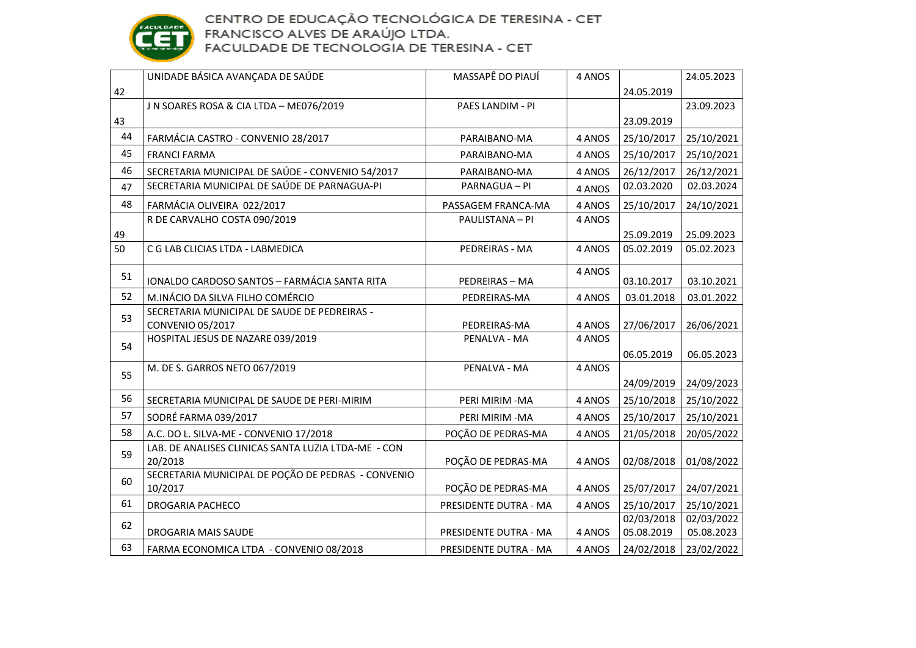

|    | UNIDADE BÁSICA AVANÇADA DE SAÚDE                               | MASSAPÊ DO PIAUÍ      | 4 ANOS |            | 24.05.2023 |
|----|----------------------------------------------------------------|-----------------------|--------|------------|------------|
| 42 |                                                                |                       |        | 24.05.2019 |            |
|    | J N SOARES ROSA & CIA LTDA - ME076/2019                        | PAES LANDIM - PI      |        |            | 23.09.2023 |
| 43 |                                                                |                       |        | 23.09.2019 |            |
| 44 | FARMÁCIA CASTRO - CONVENIO 28/2017                             | PARAIBANO-MA          | 4 ANOS | 25/10/2017 | 25/10/2021 |
| 45 | <b>FRANCI FARMA</b>                                            | PARAIBANO-MA          | 4 ANOS | 25/10/2017 | 25/10/2021 |
| 46 | SECRETARIA MUNICIPAL DE SAÚDE - CONVENIO 54/2017               | PARAIBANO-MA          | 4 ANOS | 26/12/2017 | 26/12/2021 |
| 47 | SECRETARIA MUNICIPAL DE SAÚDE DE PARNAGUA-PI                   | PARNAGUA - PI         | 4 ANOS | 02.03.2020 | 02.03.2024 |
| 48 | FARMÁCIA OLIVEIRA 022/2017                                     | PASSAGEM FRANCA-MA    | 4 ANOS | 25/10/2017 | 24/10/2021 |
|    | R DE CARVALHO COSTA 090/2019                                   | PAULISTANA - PI       | 4 ANOS |            |            |
| 49 |                                                                |                       |        | 25.09.2019 | 25.09.2023 |
| 50 | C G LAB CLICIAS LTDA - LABMEDICA                               | PEDREIRAS - MA        | 4 ANOS | 05.02.2019 | 05.02.2023 |
|    |                                                                |                       | 4 ANOS |            |            |
| 51 | IONALDO CARDOSO SANTOS - FARMÁCIA SANTA RITA                   | PEDREIRAS - MA        |        | 03.10.2017 | 03.10.2021 |
| 52 | M.INÁCIO DA SILVA FILHO COMÉRCIO                               | PEDREIRAS-MA          | 4 ANOS | 03.01.2018 | 03.01.2022 |
| 53 | SECRETARIA MUNICIPAL DE SAUDE DE PEDREIRAS -                   |                       |        |            |            |
|    | CONVENIO 05/2017                                               | PEDREIRAS-MA          | 4 ANOS | 27/06/2017 | 26/06/2021 |
| 54 | HOSPITAL JESUS DE NAZARE 039/2019                              | PENALVA - MA          | 4 ANOS |            |            |
|    |                                                                |                       |        | 06.05.2019 | 06.05.2023 |
| 55 | M. DE S. GARROS NETO 067/2019                                  | PENALVA - MA          | 4 ANOS |            |            |
|    |                                                                |                       |        | 24/09/2019 | 24/09/2023 |
| 56 | SECRETARIA MUNICIPAL DE SAUDE DE PERI-MIRIM                    | PERI MIRIM - MA       | 4 ANOS | 25/10/2018 | 25/10/2022 |
| 57 | SODRÉ FARMA 039/2017                                           | PERI MIRIM -MA        | 4 ANOS | 25/10/2017 | 25/10/2021 |
| 58 | A.C. DO L. SILVA-ME - CONVENIO 17/2018                         | POÇÃO DE PEDRAS-MA    | 4 ANOS | 21/05/2018 | 20/05/2022 |
| 59 | LAB. DE ANALISES CLINICAS SANTA LUZIA LTDA-ME - CON<br>20/2018 | POÇÃO DE PEDRAS-MA    | 4 ANOS | 02/08/2018 | 01/08/2022 |
|    | SECRETARIA MUNICIPAL DE POÇÃO DE PEDRAS - CONVENIO             |                       |        |            |            |
| 60 | 10/2017                                                        | POÇÃO DE PEDRAS-MA    | 4 ANOS | 25/07/2017 | 24/07/2021 |
| 61 | DROGARIA PACHECO                                               | PRESIDENTE DUTRA - MA | 4 ANOS | 25/10/2017 | 25/10/2021 |
| 62 |                                                                |                       |        | 02/03/2018 | 02/03/2022 |
|    | DROGARIA MAIS SAUDE                                            | PRESIDENTE DUTRA - MA | 4 ANOS | 05.08.2019 | 05.08.2023 |
| 63 | FARMA ECONOMICA LTDA - CONVENIO 08/2018                        | PRESIDENTE DUTRA - MA | 4 ANOS | 24/02/2018 | 23/02/2022 |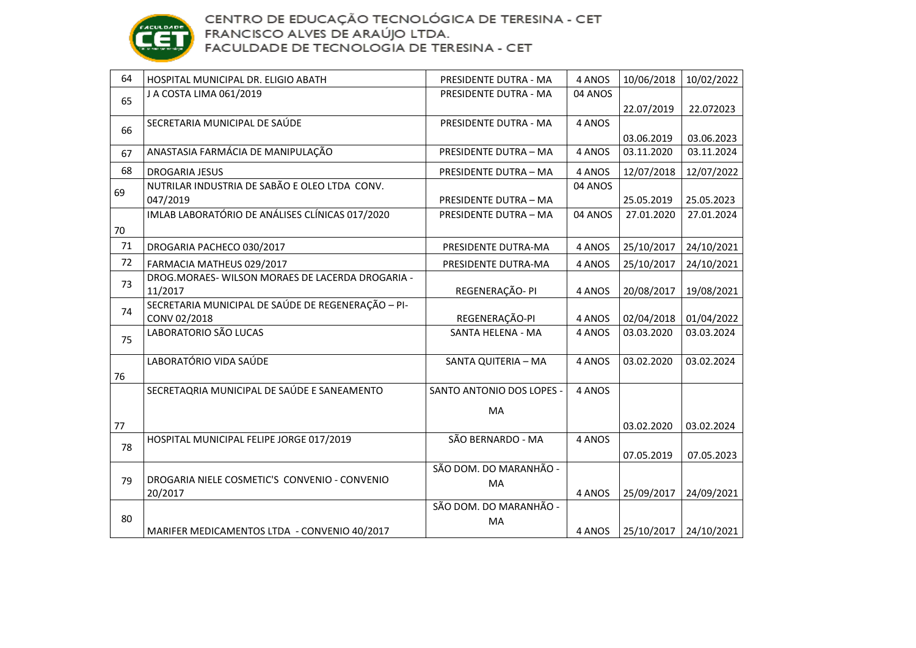

| 64 | HOSPITAL MUNICIPAL DR. ELIGIO ABATH                | PRESIDENTE DUTRA - MA        | 4 ANOS  | 10/06/2018 | 10/02/2022 |
|----|----------------------------------------------------|------------------------------|---------|------------|------------|
| 65 | J A COSTA LIMA 061/2019                            | PRESIDENTE DUTRA - MA        | 04 ANOS |            |            |
|    |                                                    |                              |         | 22.07/2019 | 22.072023  |
| 66 | SECRETARIA MUNICIPAL DE SAÚDE                      | PRESIDENTE DUTRA - MA        | 4 ANOS  |            |            |
|    |                                                    |                              |         | 03.06.2019 | 03.06.2023 |
| 67 | ANASTASIA FARMÁCIA DE MANIPULAÇÃO                  | PRESIDENTE DUTRA - MA        | 4 ANOS  | 03.11.2020 | 03.11.2024 |
| 68 | <b>DROGARIA JESUS</b>                              | PRESIDENTE DUTRA - MA        | 4 ANOS  | 12/07/2018 | 12/07/2022 |
| 69 | NUTRILAR INDUSTRIA DE SABÃO E OLEO LTDA CONV.      |                              | 04 ANOS |            |            |
|    | 047/2019                                           | <b>PRESIDENTE DUTRA - MA</b> |         | 25.05.2019 | 25.05.2023 |
|    | IMLAB LABORATÓRIO DE ANÁLISES CLÍNICAS 017/2020    | <b>PRESIDENTE DUTRA - MA</b> | 04 ANOS | 27.01.2020 | 27.01.2024 |
| 70 |                                                    |                              |         |            |            |
| 71 | DROGARIA PACHECO 030/2017                          | PRESIDENTE DUTRA-MA          | 4 ANOS  | 25/10/2017 | 24/10/2021 |
| 72 | FARMACIA MATHEUS 029/2017                          | PRESIDENTE DUTRA-MA          | 4 ANOS  | 25/10/2017 | 24/10/2021 |
| 73 | DROG.MORAES-WILSON MORAES DE LACERDA DROGARIA -    |                              |         |            |            |
|    | 11/2017                                            | REGENERAÇÃO- PI              | 4 ANOS  | 20/08/2017 | 19/08/2021 |
| 74 | SECRETARIA MUNICIPAL DE SAÚDE DE REGENERAÇÃO - PI- |                              |         |            |            |
|    | CONV 02/2018                                       | REGENERAÇÃO-PI               | 4 ANOS  | 02/04/2018 | 01/04/2022 |
| 75 | LABORATORIO SÃO LUCAS                              | SANTA HELENA - MA            | 4 ANOS  | 03.03.2020 | 03.03.2024 |
|    | LABORATÓRIO VIDA SAÚDE                             | SANTA QUITERIA - MA          | 4 ANOS  | 03.02.2020 | 03.02.2024 |
| 76 |                                                    |                              |         |            |            |
|    | SECRETAQRIA MUNICIPAL DE SAÚDE E SANEAMENTO        | SANTO ANTONIO DOS LOPES -    | 4 ANOS  |            |            |
|    |                                                    | MA                           |         |            |            |
| 77 |                                                    |                              |         | 03.02.2020 | 03.02.2024 |
|    | HOSPITAL MUNICIPAL FELIPE JORGE 017/2019           | SÃO BERNARDO - MA            | 4 ANOS  |            |            |
| 78 |                                                    |                              |         | 07.05.2019 | 07.05.2023 |
|    |                                                    | SÃO DOM. DO MARANHÃO -       |         |            |            |
| 79 | DROGARIA NIELE COSMETIC'S CONVENIO - CONVENIO      | MA                           |         |            |            |
|    | 20/2017                                            |                              | 4 ANOS  | 25/09/2017 | 24/09/2021 |
| 80 |                                                    | SÃO DOM. DO MARANHÃO -       |         |            |            |
|    | MARIFER MEDICAMENTOS LTDA - CONVENIO 40/2017       | MA                           | 4 ANOS  | 25/10/2017 | 24/10/2021 |
|    |                                                    |                              |         |            |            |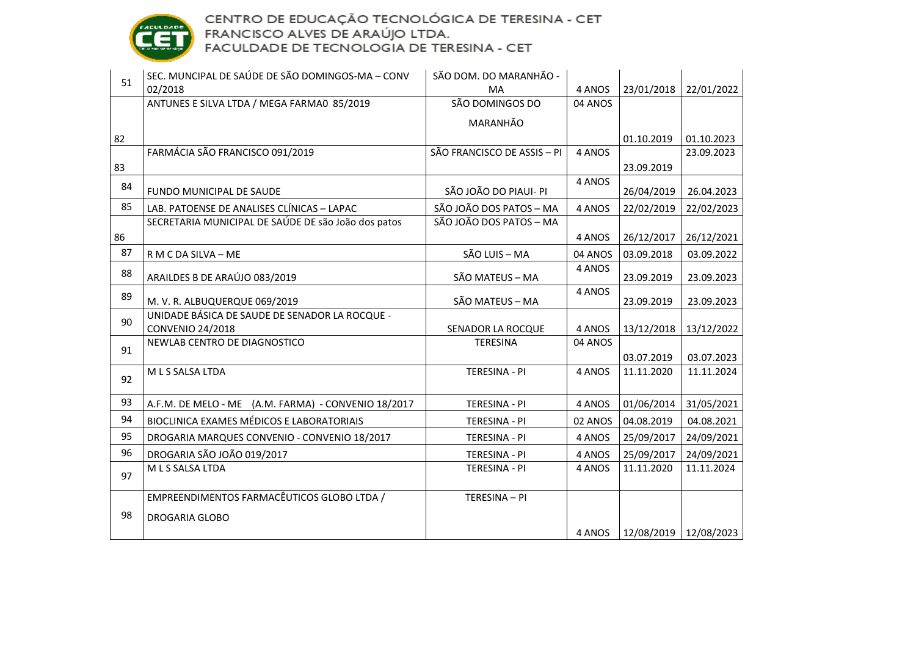

| 51 | SEC. MUNCIPAL DE SAÚDE DE SÃO DOMINGOS-MA - CONV                                                  | SÃO DOM. DO MARANHÃO -      |         |            |                         |
|----|---------------------------------------------------------------------------------------------------|-----------------------------|---------|------------|-------------------------|
|    | 02/2018                                                                                           | MA                          | 4 ANOS  | 23/01/2018 | 22/01/2022              |
|    | ANTUNES E SILVA LTDA / MEGA FARMA0 85/2019                                                        | SÃO DOMINGOS DO             | 04 ANOS |            |                         |
|    |                                                                                                   | MARANHÃO                    |         |            |                         |
| 82 |                                                                                                   |                             |         | 01.10.2019 | 01.10.2023              |
|    | FARMÁCIA SÃO FRANCISCO 091/2019                                                                   | SÃO FRANCISCO DE ASSIS - PI | 4 ANOS  |            | 23.09.2023              |
| 83 |                                                                                                   |                             |         | 23.09.2019 |                         |
| 84 | FUNDO MUNICIPAL DE SAUDE                                                                          | SÃO JOÃO DO PIAUI- PI       | 4 ANOS  | 26/04/2019 | 26.04.2023              |
| 85 |                                                                                                   | SÃO JOÃO DOS PATOS - MA     |         |            |                         |
|    | LAB. PATOENSE DE ANALISES CLÍNICAS - LAPAC<br>SECRETARIA MUNICIPAL DE SAÚDE DE são João dos patos | SÃO JOÃO DOS PATOS - MA     | 4 ANOS  | 22/02/2019 | 22/02/2023              |
| 86 |                                                                                                   |                             | 4 ANOS  | 26/12/2017 | 26/12/2021              |
| 87 | R M C DA SILVA - ME                                                                               | SÃO LUIS - MA               | 04 ANOS | 03.09.2018 | 03.09.2022              |
|    |                                                                                                   |                             | 4 ANOS  |            |                         |
| 88 | ARAILDES B DE ARAÚJO 083/2019                                                                     | SÃO MATEUS - MA             |         | 23.09.2019 | 23.09.2023              |
| 89 | M. V. R. ALBUQUERQUE 069/2019                                                                     | SÃO MATEUS - MA             | 4 ANOS  | 23.09.2019 | 23.09.2023              |
|    | UNIDADE BÁSICA DE SAUDE DE SENADOR LA ROCQUE -                                                    |                             |         |            |                         |
| 90 | CONVENIO 24/2018                                                                                  | SENADOR LA ROCQUE           | 4 ANOS  | 13/12/2018 | 13/12/2022              |
|    | NEWLAB CENTRO DE DIAGNOSTICO                                                                      | <b>TERESINA</b>             | 04 ANOS |            |                         |
| 91 |                                                                                                   |                             |         | 03.07.2019 | 03.07.2023              |
| 92 | M L S SALSA LTDA                                                                                  | <b>TERESINA - PI</b>        | 4 ANOS  | 11.11.2020 | 11.11.2024              |
|    |                                                                                                   |                             |         |            |                         |
| 93 | A.F.M. DE MELO - ME (A.M. FARMA) - CONVENIO 18/2017                                               | TERESINA - PI               | 4 ANOS  | 01/06/2014 | 31/05/2021              |
| 94 | BIOCLINICA EXAMES MÉDICOS E LABORATORIAIS                                                         | <b>TERESINA - PI</b>        | 02 ANOS | 04.08.2019 | 04.08.2021              |
| 95 | DROGARIA MARQUES CONVENIO - CONVENIO 18/2017                                                      | TERESINA - PI               | 4 ANOS  | 25/09/2017 | 24/09/2021              |
| 96 | DROGARIA SÃO JOÃO 019/2017                                                                        | TERESINA - PI               | 4 ANOS  | 25/09/2017 | 24/09/2021              |
| 97 | M L S SALSA LTDA                                                                                  | TERESINA - PI               | 4 ANOS  | 11.11.2020 | 11.11.2024              |
|    |                                                                                                   |                             |         |            |                         |
|    | EMPREENDIMENTOS FARMACÊUTICOS GLOBO LTDA /                                                        | TERESINA - PI               |         |            |                         |
| 98 | <b>DROGARIA GLOBO</b>                                                                             |                             |         |            |                         |
|    |                                                                                                   |                             | 4 ANOS  |            | 12/08/2019   12/08/2023 |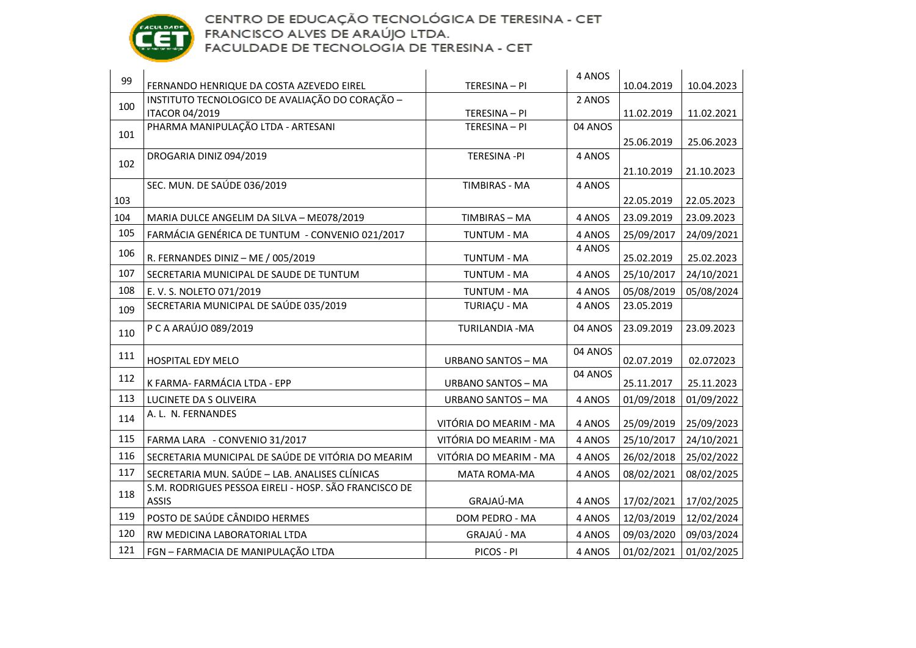

| 99  | FERNANDO HENRIQUE DA COSTA AZEVEDO EIREL                              | TERESINA - PI             | 4 ANOS  | 10.04.2019 | 10.04.2023 |
|-----|-----------------------------------------------------------------------|---------------------------|---------|------------|------------|
|     | INSTITUTO TECNOLOGICO DE AVALIAÇÃO DO CORAÇÃO -                       |                           | 2 ANOS  |            |            |
| 100 | <b>ITACOR 04/2019</b>                                                 | TERESINA - PI             |         | 11.02.2019 | 11.02.2021 |
| 101 | PHARMA MANIPULAÇÃO LTDA - ARTESANI                                    | TERESINA - PI             | 04 ANOS |            |            |
|     |                                                                       |                           |         | 25.06.2019 | 25.06.2023 |
| 102 | DROGARIA DINIZ 094/2019                                               | <b>TERESINA -PI</b>       | 4 ANOS  |            |            |
|     |                                                                       |                           |         | 21.10.2019 | 21.10.2023 |
|     | SEC. MUN. DE SAÚDE 036/2019                                           | <b>TIMBIRAS - MA</b>      | 4 ANOS  |            |            |
| 103 |                                                                       |                           |         | 22.05.2019 | 22.05.2023 |
| 104 | MARIA DULCE ANGELIM DA SILVA - ME078/2019                             | TIMBIRAS - MA             | 4 ANOS  | 23.09.2019 | 23.09.2023 |
| 105 | FARMÁCIA GENÉRICA DE TUNTUM - CONVENIO 021/2017                       | <b>TUNTUM - MA</b>        | 4 ANOS  | 25/09/2017 | 24/09/2021 |
| 106 |                                                                       |                           | 4 ANOS  |            |            |
|     | R. FERNANDES DINIZ - ME / 005/2019                                    | <b>TUNTUM - MA</b>        |         | 25.02.2019 | 25.02.2023 |
| 107 | SECRETARIA MUNICIPAL DE SAUDE DE TUNTUM                               | <b>TUNTUM - MA</b>        | 4 ANOS  | 25/10/2017 | 24/10/2021 |
| 108 | E. V. S. NOLETO 071/2019                                              | <b>TUNTUM - MA</b>        | 4 ANOS  | 05/08/2019 | 05/08/2024 |
| 109 | SECRETARIA MUNICIPAL DE SAÚDE 035/2019                                | <b>TURIAÇU - MA</b>       | 4 ANOS  | 23.05.2019 |            |
| 110 | P C A ARAÚJO 089/2019                                                 | <b>TURILANDIA - MA</b>    | 04 ANOS | 23.09.2019 | 23.09.2023 |
| 111 | HOSPITAL EDY MELO                                                     | <b>URBANO SANTOS - MA</b> | 04 ANOS | 02.07.2019 | 02.072023  |
| 112 |                                                                       |                           | 04 ANOS |            |            |
|     | K FARMA- FARMÁCIA LTDA - EPP                                          | <b>URBANO SANTOS - MA</b> |         | 25.11.2017 | 25.11.2023 |
| 113 | LUCINETE DA S OLIVEIRA                                                | <b>URBANO SANTOS - MA</b> | 4 ANOS  | 01/09/2018 | 01/09/2022 |
| 114 | A. L. N. FERNANDES                                                    | VITÓRIA DO MEARIM - MA    | 4 ANOS  | 25/09/2019 | 25/09/2023 |
| 115 | FARMA LARA - CONVENIO 31/2017                                         | VITÓRIA DO MEARIM - MA    | 4 ANOS  | 25/10/2017 | 24/10/2021 |
| 116 | SECRETARIA MUNICIPAL DE SAÚDE DE VITÓRIA DO MEARIM                    | VITÓRIA DO MEARIM - MA    | 4 ANOS  | 26/02/2018 | 25/02/2022 |
| 117 | SECRETARIA MUN. SAÚDE - LAB. ANALISES CLÍNICAS                        | MATA ROMA-MA              | 4 ANOS  | 08/02/2021 | 08/02/2025 |
| 118 | S.M. RODRIGUES PESSOA EIRELI - HOSP. SÃO FRANCISCO DE<br><b>ASSIS</b> | GRAJAÚ-MA                 | 4 ANOS  | 17/02/2021 | 17/02/2025 |
| 119 | POSTO DE SAÚDE CÂNDIDO HERMES                                         | DOM PEDRO - MA            | 4 ANOS  | 12/03/2019 | 12/02/2024 |
| 120 | RW MEDICINA LABORATORIAL LTDA                                         | GRAJAÚ - MA               | 4 ANOS  | 09/03/2020 | 09/03/2024 |
| 121 | FGN - FARMACIA DE MANIPULAÇÃO LTDA                                    | PICOS - PI                | 4 ANOS  | 01/02/2021 | 01/02/2025 |